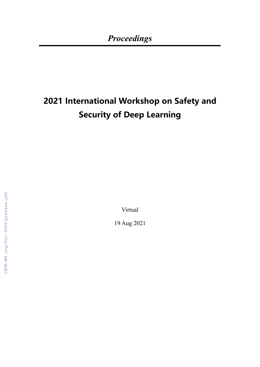## **2021 International Workshop on Safety and Security of Deep Learning**

Virtual

19 Aug 2021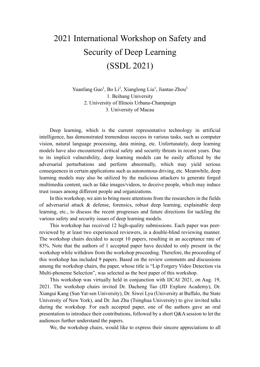## 2021 International Workshop on Safety and Security of Deep Learning (SSDL 2021)

Yuanfang Guo<sup>1</sup>, Bo Li<sup>2</sup>, Xianglong Liu<sup>1</sup>, Jiantao Zhou<sup>3</sup> 1. Beihang University 2. University of Illinois Urbana-Champaign 3. University of Macau

Deep learning, which is the current representative technology in artificial intelligence, has demonstrated tremendous success in various tasks, such as computer vision, natural language processing, data mining, etc. Unfortunately, deep learning models have also encountered critical safety and security threats in recent years. Due to its implicit vulnerability, deep learning models can be easily affected by the adversarial perturbations and perform abnormally, which may yield serious consequences in certain applications such as autonomous driving, etc. Meanwhile, deep learning models may also be utilized by the malicious attackers to generate forged multimedia content, such as fake images/videos, to deceive people, which may induce trust issues among different people and organizations.

In this workshop, we aim to bring more attentions from the researchers in the fields of adversarial attack & defense, forensics, robust deep learning, explainable deep learning, etc., to discuss the recent progresses and future directions for tackling the various safety and security issues of deep learning models.

This workshop has received 12 high-quality submissions. Each paper was peerreviewed by at least two experienced reviewers, in a double-blind reviewing manner. The workshop chairs decided to accept 10 papers, resulting in an acceptance rate of 83%. Note that the authors of 1 accepted paper have decided to only present in the workshop while withdraw from the workshop proceeding. Therefore, the proceeding of this workshop has included 9 papers. Based on the review comments and discussions among the workshop chairs, the paper, whose title is "Lip Forgery Video Detection via Multi-phoneme Selection", was selected as the best paper of this workshop.

This workshop was virtually held in conjunction with IJCAI 2021, on Aug. 19, 2021. The workshop chairs invited Dr. Dacheng Tao (JD Explore Academy), Dr. Xiangui Kang (Sun Yat-sen University), Dr. Siwei Lyu (University at Buffalo, the State University of New York), and Dr. Jun Zhu (Tsinghua University) to give invited talks during the workshop. For each accepted paper, one of the authors gave an oral presentation to introduce their contributions, followed by a short Q&A session to let the audiences further understand the papers.

We, the workshop chairs, would like to express their sincere appreciations to all